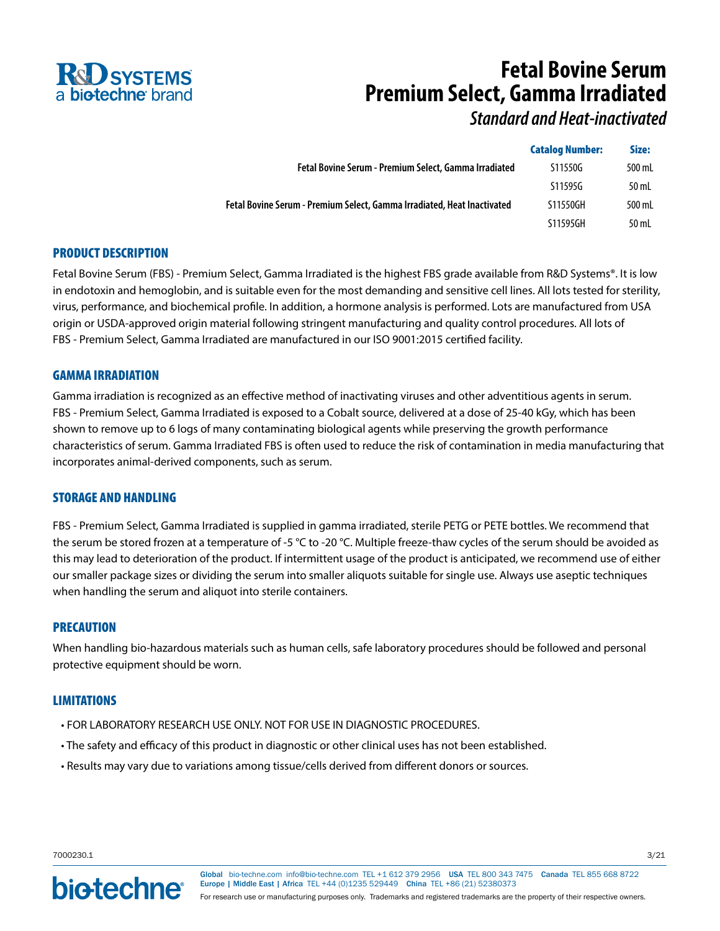

# **Fetal Bovine Serum Premium Select, Gamma Irradiated**

*Standard and Heat-inactivated*

| <b>Catalog Number:</b> | Size:  |
|------------------------|--------|
| S11550G                | 500 mL |
| S11595G                | 50 mL  |
| S11550GH               | 500 mL |
| S11595GH               | 50 mL  |
|                        |        |

# PRODUCT DESCRIPTION

Fetal Bovine Serum (FBS) - Premium Select, Gamma Irradiated is the highest FBS grade available from R&D Systems®. It is low in endotoxin and hemoglobin, and is suitable even for the most demanding and sensitive cell lines. All lots tested for sterility, virus, performance, and biochemical profile. In addition, a hormone analysis is performed. Lots are manufactured from USA origin or USDA-approved origin material following stringent manufacturing and quality control procedures. All lots of FBS - Premium Select, Gamma Irradiated are manufactured in our ISO 9001:2015 certified facility.

## GAMMA IRRADIATION

Gamma irradiation is recognized as an effective method of inactivating viruses and other adventitious agents in serum. FBS - Premium Select, Gamma Irradiated is exposed to a Cobalt source, delivered at a dose of 25-40 kGy, which has been shown to remove up to 6 logs of many contaminating biological agents while preserving the growth performance characteristics of serum. Gamma Irradiated FBS is often used to reduce the risk of contamination in media manufacturing that incorporates animal-derived components, such as serum.

## STORAGE AND HANDLING

FBS - Premium Select, Gamma Irradiated is supplied in gamma irradiated, sterile PETG or PETE bottles. We recommend that the serum be stored frozen at a temperature of -5 °C to -20 °C. Multiple freeze-thaw cycles of the serum should be avoided as this may lead to deterioration of the product. If intermittent usage of the product is anticipated, we recommend use of either our smaller package sizes or dividing the serum into smaller aliquots suitable for single use. Always use aseptic techniques when handling the serum and aliquot into sterile containers.

## PRECAUTION

When handling bio-hazardous materials such as human cells, safe laboratory procedures should be followed and personal protective equipment should be worn.

## LIMITATIONS

- FOR LABORATORY RESEARCH USE ONLY. NOT FOR USE IN DIAGNOSTIC PROCEDURES.
- The safety and efficacy of this product in diagnostic or other clinical uses has not been established.
- Results may vary due to variations among tissue/cells derived from different donors or sources.

7000230.1 3/21

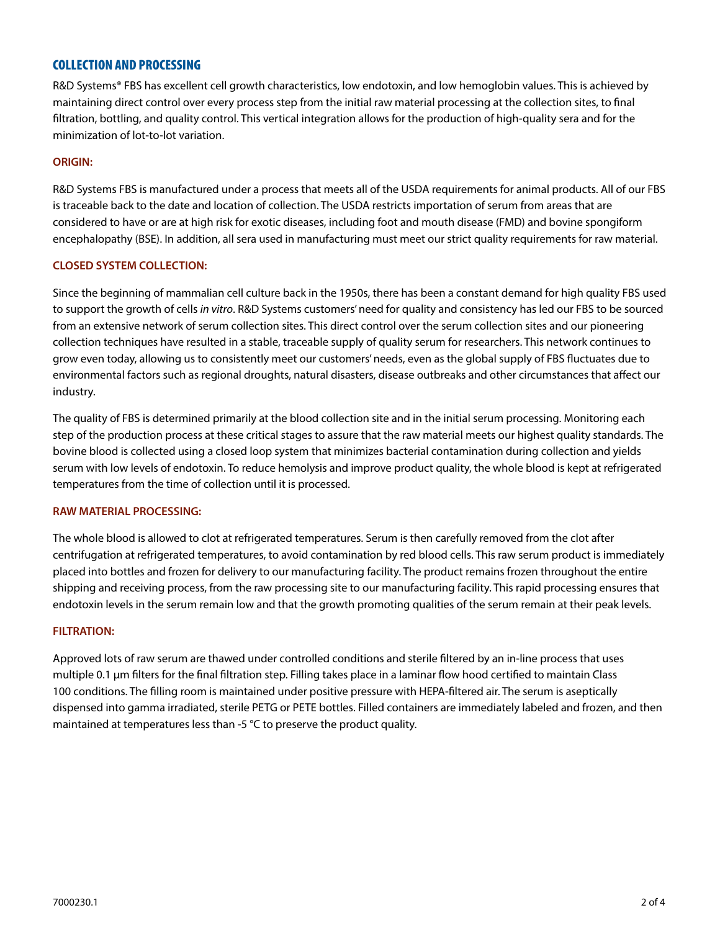# COLLECTION AND PROCESSING

R&D Systems® FBS has excellent cell growth characteristics, low endotoxin, and low hemoglobin values. This is achieved by maintaining direct control over every process step from the initial raw material processing at the collection sites, to final filtration, bottling, and quality control. This vertical integration allows for the production of high-quality sera and for the minimization of lot-to-lot variation.

#### **ORIGIN:**

R&D Systems FBS is manufactured under a process that meets all of the USDA requirements for animal products. All of our FBS is traceable back to the date and location of collection. The USDA restricts importation of serum from areas that are considered to have or are at high risk for exotic diseases, including foot and mouth disease (FMD) and bovine spongiform encephalopathy (BSE). In addition, all sera used in manufacturing must meet our strict quality requirements for raw material.

#### **CLOSED SYSTEM COLLECTION:**

Since the beginning of mammalian cell culture back in the 1950s, there has been a constant demand for high quality FBS used to support the growth of cells *in vitro*. R&D Systems customers' need for quality and consistency has led our FBS to be sourced from an extensive network of serum collection sites. This direct control over the serum collection sites and our pioneering collection techniques have resulted in a stable, traceable supply of quality serum for researchers. This network continues to grow even today, allowing us to consistently meet our customers' needs, even as the global supply of FBS fluctuates due to environmental factors such as regional droughts, natural disasters, disease outbreaks and other circumstances that affect our industry.

The quality of FBS is determined primarily at the blood collection site and in the initial serum processing. Monitoring each step of the production process at these critical stages to assure that the raw material meets our highest quality standards. The bovine blood is collected using a closed loop system that minimizes bacterial contamination during collection and yields serum with low levels of endotoxin. To reduce hemolysis and improve product quality, the whole blood is kept at refrigerated temperatures from the time of collection until it is processed.

#### **RAW MATERIAL PROCESSING:**

The whole blood is allowed to clot at refrigerated temperatures. Serum is then carefully removed from the clot after centrifugation at refrigerated temperatures, to avoid contamination by red blood cells. This raw serum product is immediately placed into bottles and frozen for delivery to our manufacturing facility. The product remains frozen throughout the entire shipping and receiving process, from the raw processing site to our manufacturing facility. This rapid processing ensures that endotoxin levels in the serum remain low and that the growth promoting qualities of the serum remain at their peak levels.

#### **FILTRATION:**

Approved lots of raw serum are thawed under controlled conditions and sterile filtered by an in-line process that uses multiple 0.1 μm filters for the final filtration step. Filling takes place in a laminar flow hood certified to maintain Class 100 conditions. The filling room is maintained under positive pressure with HEPA-filtered air. The serum is aseptically dispensed into gamma irradiated, sterile PETG or PETE bottles. Filled containers are immediately labeled and frozen, and then maintained at temperatures less than -5 °C to preserve the product quality.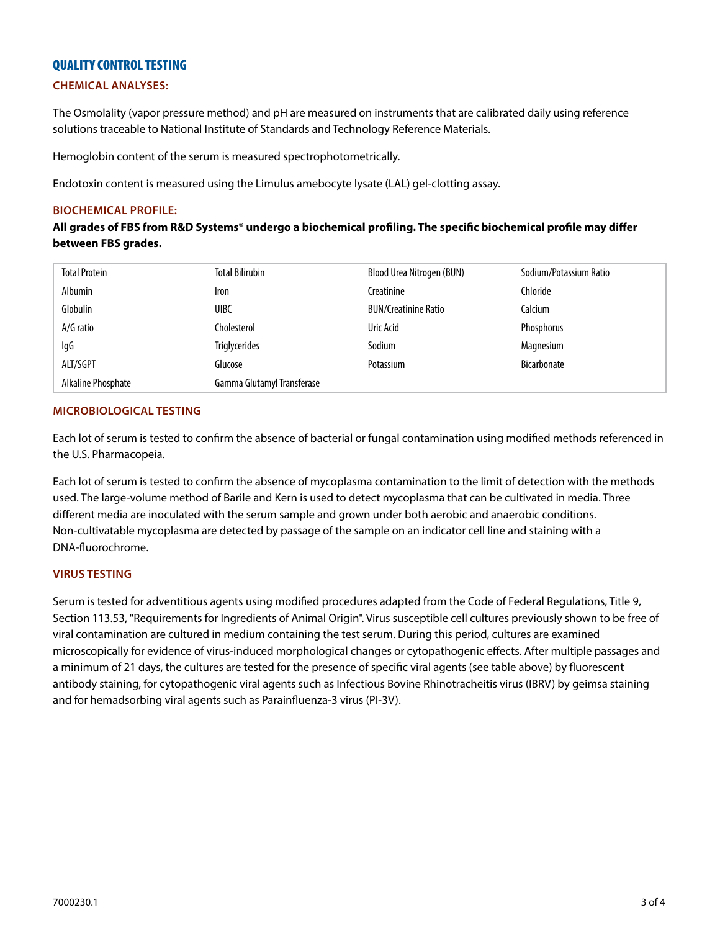# QUALITY CONTROL TESTING

## **CHEMICAL ANALYSES:**

The Osmolality (vapor pressure method) and pH are measured on instruments that are calibrated daily using reference solutions traceable to National Institute of Standards and Technology Reference Materials.

Hemoglobin content of the serum is measured spectrophotometrically.

Endotoxin content is measured using the Limulus amebocyte lysate (LAL) gel-clotting assay.

## **BIOCHEMICAL PROFILE:**

**All grades of FBS from R&D Systems**® **undergo a biochemical profiling. The specific biochemical profile may differ between FBS grades.**

| <b>Total Protein</b> | <b>Total Bilirubin</b>     | Blood Urea Nitrogen (BUN)   | Sodium/Potassium Ratio |
|----------------------|----------------------------|-----------------------------|------------------------|
| Albumin              | Iron                       | Creatinine                  | Chloride               |
| Globulin             | <b>UIBC</b>                | <b>BUN/Creatinine Ratio</b> | Calcium                |
| A/G ratio            | Cholesterol                | Uric Acid                   | Phosphorus             |
| lgG                  | <b>Triglycerides</b>       | Sodium                      | Magnesium              |
| ALT/SGPT             | Glucose                    | Potassium                   | <b>Bicarbonate</b>     |
| Alkaline Phosphate   | Gamma Glutamyl Transferase |                             |                        |

## **MICROBIOLOGICAL TESTING**

Each lot of serum is tested to confirm the absence of bacterial or fungal contamination using modified methods referenced in the U.S. Pharmacopeia.

Each lot of serum is tested to confirm the absence of mycoplasma contamination to the limit of detection with the methods used. The large-volume method of Barile and Kern is used to detect mycoplasma that can be cultivated in media. Three different media are inoculated with the serum sample and grown under both aerobic and anaerobic conditions. Non-cultivatable mycoplasma are detected by passage of the sample on an indicator cell line and staining with a DNA-fluorochrome.

### **VIRUS TESTING**

Serum is tested for adventitious agents using modified procedures adapted from the Code of Federal Regulations, Title 9, Section 113.53, "Requirements for Ingredients of Animal Origin". Virus susceptible cell cultures previously shown to be free of viral contamination are cultured in medium containing the test serum. During this period, cultures are examined microscopically for evidence of virus-induced morphological changes or cytopathogenic effects. After multiple passages and a minimum of 21 days, the cultures are tested for the presence of specific viral agents (see table above) by fluorescent antibody staining, for cytopathogenic viral agents such as Infectious Bovine Rhinotracheitis virus (IBRV) by geimsa staining and for hemadsorbing viral agents such as Parainfluenza-3 virus (PI-3V).